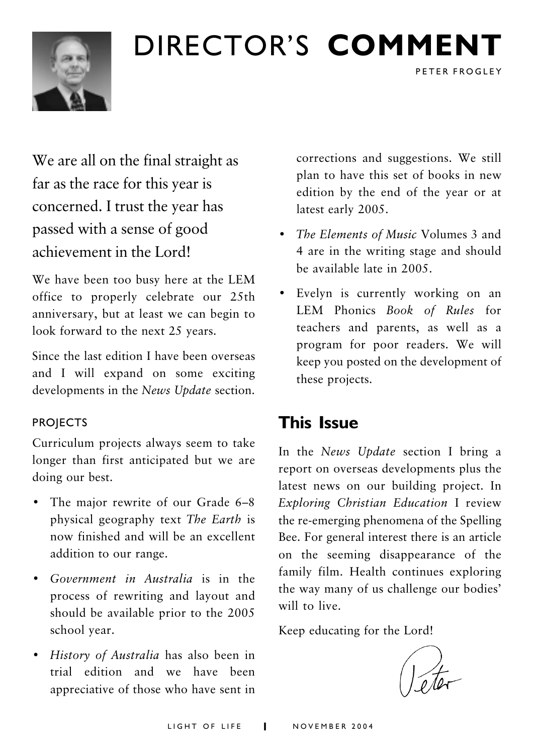## DIRECTOR'S COMMENT



## We are all on the final straight as far as the race for this year is concerned. I trust the year has passed with a sense of good achievement in the Lord!

We have been too busy here at the LEM office to properly celebrate our 25th anniversary, but at least we can begin to look forward to the next 25 years.

Since the last edition I have been overseas and I will expand on some exciting developments in the News Update section.

#### **PROJECTS**

Curriculum projects always seem to take longer than first anticipated but we are doing our best.

- The major rewrite of our Grade 6-8 physical geography text The Earth is now finished and will be an excellent addition to our range.
- Government in Australia is in the process of rewriting and layout and should be available prior to the 2005 school year.
- History of Australia has also been in trial edition and we have been appreciative of those who have sent in

corrections and suggestions. We still plan to have this set of books in new edition by the end of the year or at latest early 2005.

PETER FROGLEY

- The Elements of Music Volumes 3 and 4 are in the writing stage and should be available late in 2005
- Evelyn is currently working on an LEM Phonics Book of Rules for teachers and parents, as well as a program for poor readers. We will keep you posted on the development of these projects.

### **This Issue**

In the News Update section I bring a report on overseas developments plus the latest news on our building project. In Exploring Christian Education I review the re-emerging phenomena of the Spelling Bee. For general interest there is an article on the seeming disappearance of the family film. Health continues exploring the way many of us challenge our bodies' will to live.

Keep educating for the Lord!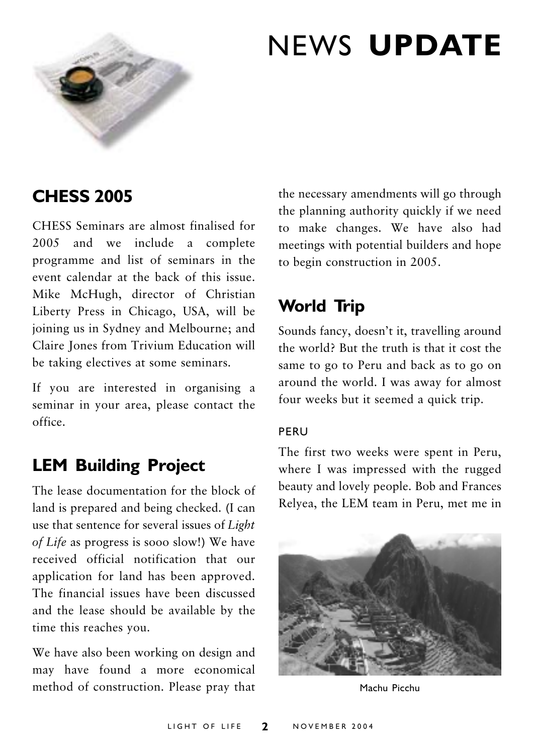

## **NEWS UPDATE**

### **CHESS 2005**

CHESS Seminars are almost finalised for 2005 and we include a complete programme and list of seminars in the event calendar at the back of this issue Mike McHugh, director of Christian Liberty Press in Chicago, USA, will be joining us in Sydney and Melbourne; and Claire Jones from Trivium Education will be taking electives at some seminars.

If you are interested in organising a seminar in your area, please contact the office

### **LEM Building Project**

The lease documentation for the block of land is prepared and being checked. (I can use that sentence for several issues of Light of Life as progress is sooo slow!) We have received official notification that our application for land has been approved. The financial issues have been discussed and the lease should be available by the time this reaches you.

We have also been working on design and may have found a more economical method of construction. Please pray that

the necessary amendments will go through the planning authority quickly if we need to make changes. We have also had meetings with potential builders and hope to begin construction in 2005.

## **World Trip**

Sounds fancy, doesn't it, travelling around the world? But the truth is that it cost the same to go to Peru and back as to go on around the world. I was away for almost four weeks but it seemed a quick trip.

#### PERU

The first two weeks were spent in Peru, where I was impressed with the rugged beauty and lovely people. Bob and Frances Relyea, the LEM team in Peru, met me in



Machu Picchu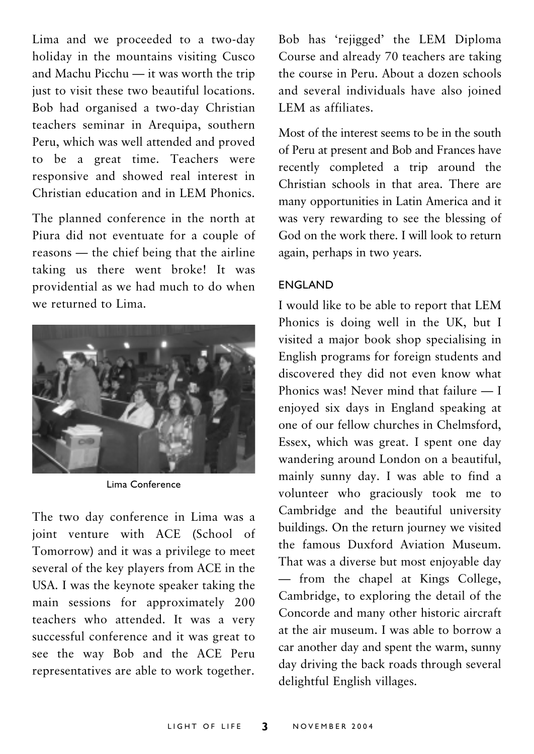Lima and we proceeded to a two-day holiday in the mountains visiting Cusco and Machu Picchu - it was worth the trip just to visit these two beautiful locations. Bob had organised a two-day Christian teachers seminar in Arequipa, southern Peru, which was well attended and proved to be a great time. Teachers were responsive and showed real interest in Christian education and in LEM Phonics.

The planned conference in the north at Piura did not eventuate for a couple of reasons — the chief being that the airline taking us there went broke! It was providential as we had much to do when we returned to Lima



Lima Conference

The two day conference in Lima was a joint venture with ACE (School of Tomorrow) and it was a privilege to meet several of the key players from ACE in the USA. I was the keynote speaker taking the main sessions for approximately 200 teachers who attended. It was a very successful conference and it was great to see the way Bob and the ACE Peru representatives are able to work together.

Bob has 'rejigged' the LEM Diploma Course and already 70 teachers are taking the course in Peru. About a dozen schools and several individuals have also joined LEM as affiliates.

Most of the interest seems to be in the south of Peru at present and Bob and Frances have recently completed a trip around the Christian schools in that area. There are many opportunities in Latin America and it was very rewarding to see the blessing of God on the work there I will look to return again, perhaps in two years.

#### **ENGLAND**

I would like to be able to report that LEM Phonics is doing well in the UK, but I visited a major book shop specialising in English programs for foreign students and discovered they did not even know what Phonics was! Never mind that failure  $-1$ enjoyed six days in England speaking at one of our fellow churches in Chelmsford. Essex, which was great. I spent one day wandering around London on a beautiful. mainly sunny day. I was able to find a volunteer who graciously took me to Cambridge and the beautiful university buildings. On the return journey we visited the famous Duxford Aviation Museum. That was a diverse but most enjoyable day - from the chapel at Kings College, Cambridge, to exploring the detail of the Concorde and many other historic aircraft at the air museum. I was able to borrow a car another day and spent the warm, sunny day driving the back roads through several delightful English villages.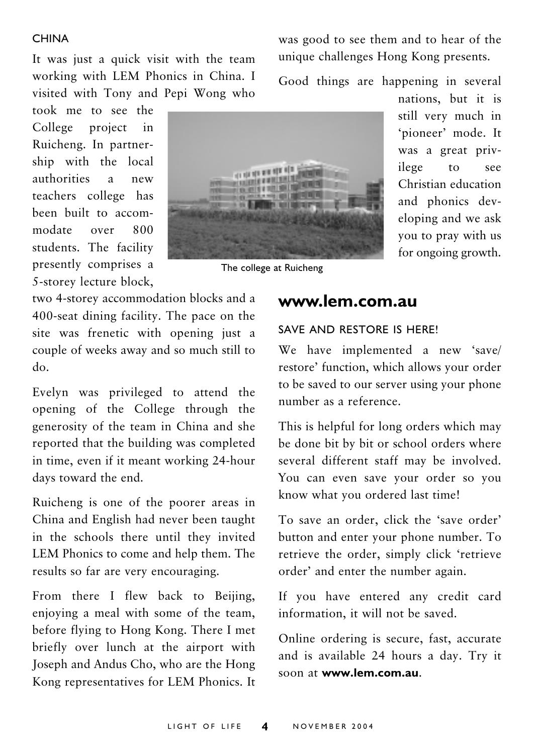#### **CHINA**

It was just a quick visit with the team working with LEM Phonics in China. I visited with Tony and Pepi Wong who

took me to see the College project  $\mathbf{in}$ Ruicheng. In partnership with the local authorities  $\overline{a}$  $new$ teachers college has been built to accommodate 800 over students. The facility presently comprises a 5-storey lecture block,



was good to see them and to hear of the unique challenges Hong Kong presents.

Good things are happening in several

The college at Ruicheng

nations, but it is still very much in 'pioneer' mode. It was a great privilege  $t_0$ see Christian education and phonics developing and we ask you to pray with us for ongoing growth.

two 4-storey accommodation blocks and a 400-seat dining facility. The pace on the site was frenetic with opening just a couple of weeks away and so much still to  $d_{\Omega}$ 

Evelyn was privileged to attend the opening of the College through the generosity of the team in China and she reported that the building was completed in time, even if it meant working 24-hour days toward the end.

Ruicheng is one of the poorer areas in China and English had never been taught in the schools there until they invited LEM Phonics to come and help them. The results so far are very encouraging.

From there I flew back to Beijing, enjoying a meal with some of the team, before flying to Hong Kong. There I met briefly over lunch at the airport with Joseph and Andus Cho, who are the Hong Kong representatives for LEM Phonics. It

### www.lem.com.au

#### SAVE AND RESTORE IS HERE!

We have implemented a new 'save/ restore' function, which allows your order to be saved to our server using your phone number as a reference

This is helpful for long orders which may be done bit by bit or school orders where several different staff may be involved. You can even save your order so you know what you ordered last time!

To save an order, click the 'save order' button and enter your phone number. To retrieve the order, simply click 'retrieve order' and enter the number again.

If you have entered any credit card information, it will not be saved.

Online ordering is secure, fast, accurate and is available 24 hours a day. Try it soon at www.lem.com.au.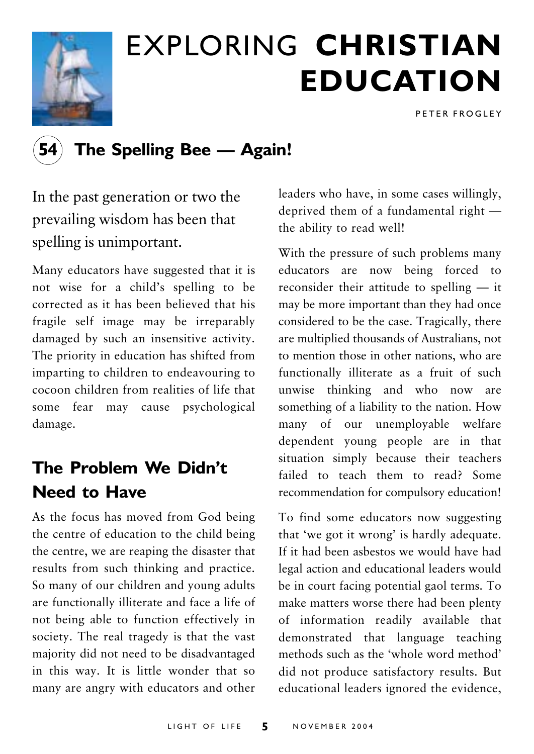

# **EXPLORING CHRISTIAN EDUCATION**

PETER FROGLEY

### The Spelling Bee - Again!

In the past generation or two the prevailing wisdom has been that spelling is unimportant.

Many educators have suggested that it is not wise for a child's spelling to be corrected as it has been believed that his fragile self image may be irreparably damaged by such an insensitive activity. The priority in education has shifted from imparting to children to endeavouring to cocoon children from realities of life that some fear may cause psychological damage.

## The Problem We Didn't Need to Have

As the focus has moved from God being the centre of education to the child being the centre, we are reaping the disaster that results from such thinking and practice. So many of our children and young adults are functionally illiterate and face a life of not being able to function effectively in society. The real tragedy is that the vast majority did not need to be disadvantaged in this way. It is little wonder that so many are angry with educators and other leaders who have, in some cases willingly, deprived them of a fundamental right the ability to read well!

With the pressure of such problems many educators are now being forced to reconsider their attitude to spelling  $-$  it may be more important than they had once considered to be the case. Tragically, there are multiplied thousands of Australians, not to mention those in other nations, who are functionally illiterate as a fruit of such unwise thinking and who now are something of a liability to the nation. How many of our unemployable welfare dependent young people are in that situation simply because their teachers failed to teach them to read? Some recommendation for compulsory education!

To find some educators now suggesting that 'we got it wrong' is hardly adequate. If it had been asbestos we would have had legal action and educational leaders would be in court facing potential gaol terms. To make matters worse there had been plenty of information readily available that demonstrated that language teaching methods such as the 'whole word method' did not produce satisfactory results. But educational leaders ignored the evidence,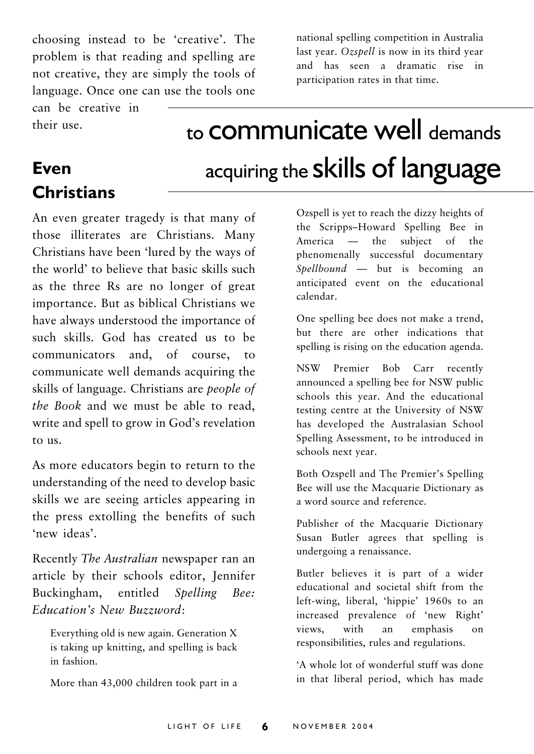choosing instead to be 'creative'. The problem is that reading and spelling are not creative, they are simply the tools of language. Once one can use the tools one national spelling competition in Australia last year. Ozspell is now in its third year and has seen a dramatic rise in participation rates in that time.

can be creative in their use.

**Christians** 

**Even** 

## to **COMMUNICATE** Well demands acquiring the skills of language

An even greater tragedy is that many of those illiterates are Christians. Many Christians have been 'lured by the ways of the world' to believe that basic skills such as the three Rs are no longer of great importance. But as biblical Christians we have always understood the importance of such skills. God has created us to be communicators and, of course, to communicate well demands acquiring the skills of language. Christians are *people of* the Book and we must be able to read, write and spell to grow in God's revelation  $to$   $\overline{u}$ s.

As more educators begin to return to the understanding of the need to develop basic skills we are seeing articles appearing in the press extolling the benefits of such 'new ideas'.

Recently The Australian newspaper ran an article by their schools editor, Jennifer Buckingham, entitled Spelling Bee: Education's New Buzzword:

Everything old is new again. Generation X is taking up knitting, and spelling is back in fashion.

More than 43,000 children took part in a

Ozspell is yet to reach the dizzy heights of the Scripps-Howard Spelling Bee in America — the subject of the phenomenally successful documentary  $Spellbound$  — but is becoming an anticipated event on the educational calendar.

One spelling bee does not make a trend, but there are other indications that spelling is rising on the education agenda.

Premier Bob Carr recently **NSW** announced a spelling bee for NSW public schools this year. And the educational testing centre at the University of NSW has developed the Australasian School Spelling Assessment, to be introduced in schools next year.

Both Ozspell and The Premier's Spelling Bee will use the Macquarie Dictionary as a word source and reference.

Publisher of the Macquarie Dictionary Susan Butler agrees that spelling is undergoing a renaissance.

Butler believes it is part of a wider educational and societal shift from the left-wing, liberal, 'hippie' 1960s to an increased prevalence of 'new Right' views. with emphasis an  $\alpha$ n responsibilities, rules and regulations.

'A whole lot of wonderful stuff was done in that liberal period, which has made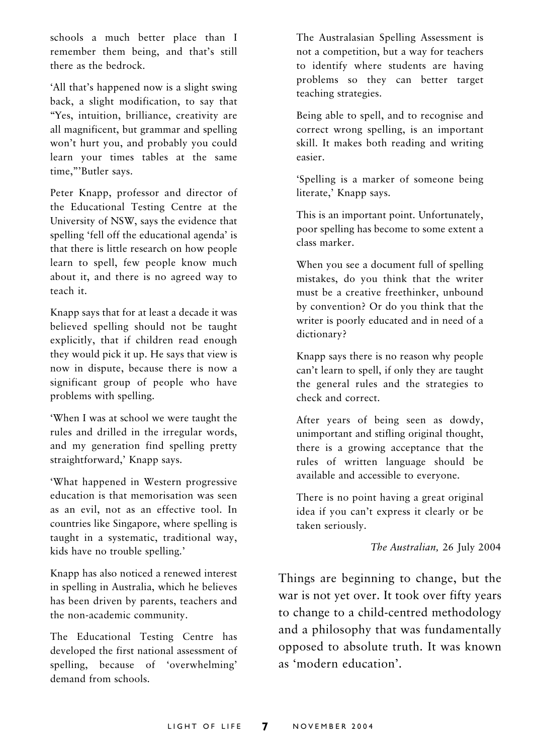schools a much better place than I remember them being, and that's still there as the hedrock

'All that's happened now is a slight swing back, a slight modification, to say that "Yes, intuition, brilliance, creativity are all magnificent, but grammar and spelling won't hurt you, and probably you could learn your times tables at the same time,"'Butler says.

Peter Knapp, professor and director of the Educational Testing Centre at the University of NSW, says the evidence that spelling 'fell off the educational agenda' is that there is little research on how people learn to spell, few people know much about it, and there is no agreed way to teach it.

Knapp says that for at least a decade it was believed spelling should not be taught explicitly, that if children read enough they would pick it up. He says that view is now in dispute, because there is now a significant group of people who have problems with spelling.

'When I was at school we were taught the rules and drilled in the irregular words, and my generation find spelling pretty straightforward,' Knapp says.

'What happened in Western progressive education is that memorisation was seen as an evil, not as an effective tool. In countries like Singapore, where spelling is taught in a systematic, traditional way, kids have no trouble spelling.'

Knapp has also noticed a renewed interest in spelling in Australia, which he believes has been driven by parents, teachers and the non-academic community.

The Educational Testing Centre has developed the first national assessment of spelling, because of 'overwhelming' demand from schools

The Australasian Spelling Assessment is not a competition, but a way for teachers to identify where students are having problems so they can better target teaching strategies.

Being able to spell, and to recognise and correct wrong spelling, is an important skill. It makes both reading and writing easier

'Spelling is a marker of someone being literate,' Knapp says.

This is an important point. Unfortunately, poor spelling has become to some extent a class marker

When you see a document full of spelling mistakes, do you think that the writer must be a creative freethinker, unbound by convention? Or do you think that the writer is poorly educated and in need of a dictionary?

Knapp says there is no reason why people can't learn to spell, if only they are taught the general rules and the strategies to check and correct.

After years of being seen as dowdy, unimportant and stifling original thought, there is a growing acceptance that the rules of written language should be available and accessible to everyone.

There is no point having a great original idea if you can't express it clearly or be taken seriously.

The Australian, 26 July 2004

Things are beginning to change, but the war is not yet over. It took over fifty years to change to a child-centred methodology and a philosophy that was fundamentally opposed to absolute truth. It was known as 'modern education'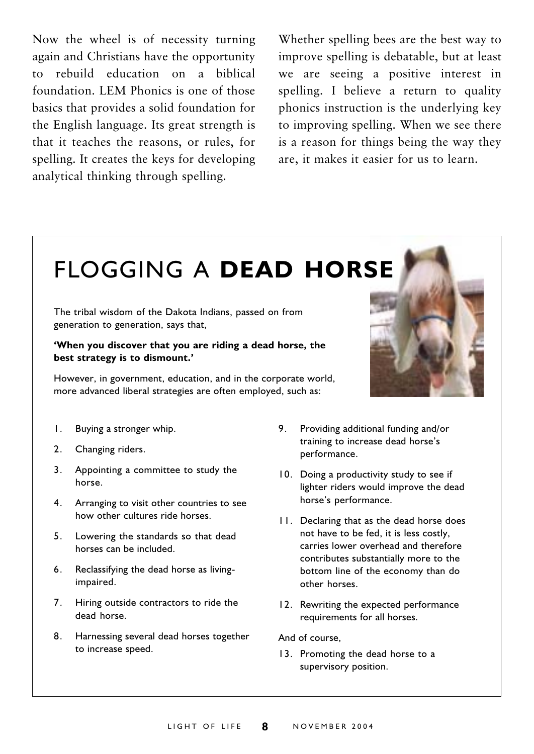Now the wheel is of necessity turning again and Christians have the opportunity rebuild education on a biblical  $\overline{10}$ foundation. LEM Phonics is one of those basics that provides a solid foundation for the English language. Its great strength is that it teaches the reasons, or rules, for spelling. It creates the keys for developing analytical thinking through spelling.

Whether spelling bees are the best way to improve spelling is debatable, but at least we are seeing a positive interest in spelling. I believe a return to quality phonics instruction is the underlying key to improving spelling. When we see there is a reason for things being the way they are, it makes it easier for us to learn.

## **FLOGGING A DEAD HORSE**

The tribal wisdom of the Dakota Indians, passed on from generation to generation, says that,

#### 'When you discover that you are riding a dead horse, the best strategy is to dismount.'

However, in government, education, and in the corporate world, more advanced liberal strategies are often employed, such as:

- Buying a stronger whip.  $\mathbf{I}$ .
- $2.$ Changing riders.
- $3<sub>1</sub>$ Appointing a committee to study the horse.
- $4.$ Arranging to visit other countries to see how other cultures ride horses.
- Lowering the standards so that dead  $5$ horses can be included.
- $6.$ Reclassifying the dead horse as livingimpaired.
- $7^{\circ}$ Hiring outside contractors to ride the dead horse.
- 8. Harnessing several dead horses together to increase speed.
- 9. Providing additional funding and/or training to increase dead horse's performance.
- 10. Doing a productivity study to see if lighter riders would improve the dead horse's performance.
- 11. Declaring that as the dead horse does not have to be fed, it is less costly. carries lower overhead and therefore contributes substantially more to the bottom line of the economy than do other horses
- 12. Rewriting the expected performance requirements for all horses.

And of course.

13. Promoting the dead horse to a supervisory position.

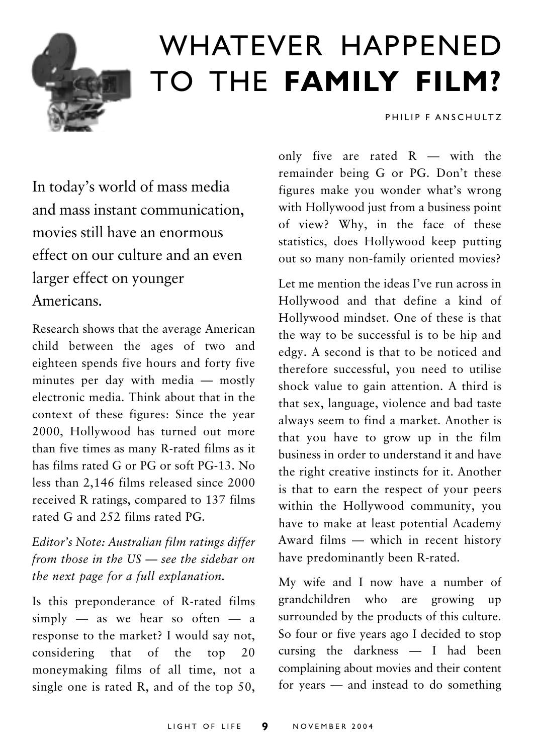

## WHATEVER HAPPENED TO THE FAMILY FILM?

PHILIP F ANSCHULTZ

In today's world of mass media and mass instant communication. movies still have an enormous effect on our culture and an even larger effect on younger Americans

Research shows that the average American child between the ages of two and eighteen spends five hours and forty five minutes per day with media - mostly electronic media. Think about that in the context of these figures: Since the year 2000, Hollywood has turned out more than five times as many R-rated films as it has films rated G or PG or soft PG-13. No less than 2,146 films released since 2000 received R ratings, compared to 137 films rated G and 252 films rated PG.

Editor's Note: Australian film ratings differ from those in the  $US$   $-$  see the sidebar on the next page for a full explanation.

Is this preponderance of R-rated films simply  $-$  as we hear so often  $-$  a response to the market? I would say not, considering that of the top  $20$ moneymaking films of all time, not a single one is rated R, and of the top  $50$ , only five are rated  $R$  — with the remainder being G or PG. Don't these figures make you wonder what's wrong with Hollywood just from a business point of view? Why, in the face of these statistics, does Hollywood keep putting out so many non-family oriented movies?

Let me mention the ideas I've run across in Hollywood and that define a kind of Hollywood mindset. One of these is that the way to be successful is to be hip and edgy. A second is that to be noticed and therefore successful, you need to utilise shock value to gain attention. A third is that sex, language, violence and bad taste always seem to find a market. Another is that you have to grow up in the film business in order to understand it and have the right creative instincts for it. Another is that to earn the respect of your peers within the Hollywood community, you have to make at least potential Academy Award films - which in recent history have predominantly been R-rated.

My wife and I now have a number of grandchildren who are growing up surrounded by the products of this culture. So four or five years ago I decided to stop cursing the darkness - I had been complaining about movies and their content for years  $-$  and instead to do something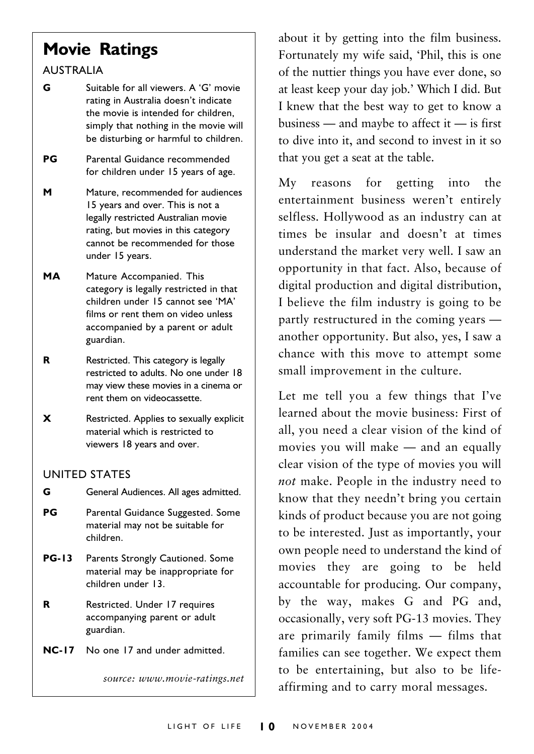## **Movie Ratings**

#### **ALISTRALIA**

G Suitable for all viewers A 'G' movie rating in Australia doesn't indicate the movie is intended for children, simply that nothing in the movie will be disturbing or harmful to children.

PG Parental Guidance recommended for children under 15 years of age.

- M Mature, recommended for audiences 15 years and over. This is not a legally restricted Australian movie rating, but movies in this category cannot be recommended for those under 15 years.
- **MA** Mature Accompanied. This category is legally restricted in that children under 15 cannot see 'MA' films or rent them on video unless accompanied by a parent or adult guardian.
- $\mathbf R$ Restricted. This category is legally restricted to adults. No one under 18 may view these movies in a cinema or rent them on videocassette.
- $\boldsymbol{\mathsf{x}}$ Restricted. Applies to sexually explicit material which is restricted to viewers 18 years and over.

#### **UNITED STATES**

G General Audiences. All ages admitted.

- PG Parental Guidance Suggested. Some material may not be suitable for children.
- **PG-13** Parents Strongly Cautioned. Some material may be inappropriate for children under 13
- R Restricted. Under 17 requires accompanying parent or adult guardian.
- NC-17 No one 17 and under admitted.

source: www.movie-ratings.net

about it by getting into the film business. Fortunately my wife said, 'Phil, this is one of the nuttier things you have ever done, so at least keep your day job.' Which I did. But I knew that the best way to get to know a business  $-$  and maybe to affect it  $-$  is first to dive into it, and second to invest in it so that you get a seat at the table.

reasons for getting the  $Mv$ into entertainment business weren't entirely selfless. Hollywood as an industry can at times be insular and doesn't at times understand the market very well. I saw an opportunity in that fact. Also, because of digital production and digital distribution, I believe the film industry is going to be partly restructured in the coming years another opportunity. But also, yes, I saw a chance with this move to attempt some small improvement in the culture.

Let me tell you a few things that I've learned about the movie business: First of all, you need a clear vision of the kind of movies you will make — and an equally clear vision of the type of movies you will not make. People in the industry need to know that they needn't bring you certain kinds of product because you are not going to be interested. Just as importantly, your own people need to understand the kind of movies they are going to be held accountable for producing. Our company, by the way, makes G and PG and, occasionally, very soft PG-13 movies. They are primarily family films - films that families can see together. We expect them to be entertaining, but also to be lifeaffirming and to carry moral messages.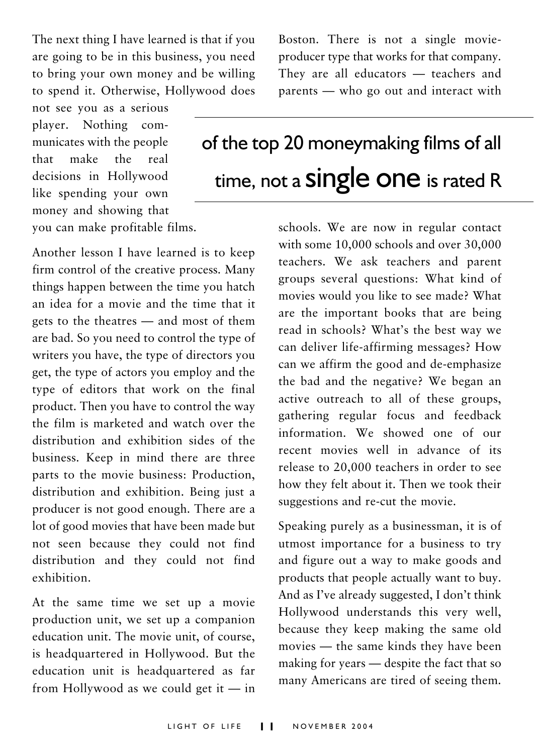The next thing I have learned is that if you are going to be in this business, you need to bring your own money and be willing to spend it. Otherwise, Hollywood does

not see you as a serious player. Nothing communicates with the people that make  $the$ real decisions in Hollywood like spending your own money and showing that you can make profitable films.

Another lesson I have learned is to keep firm control of the creative process. Many things happen between the time you hatch an idea for a movie and the time that it gets to the theatres – and most of them are bad. So you need to control the type of writers you have, the type of directors you get, the type of actors you employ and the type of editors that work on the final product. Then you have to control the way the film is marketed and watch over the distribution and exhibition sides of the business. Keep in mind there are three parts to the movie business: Production, distribution and exhibition. Being just a producer is not good enough. There are a lot of good movies that have been made but not seen because they could not find distribution and they could not find exhibition.

At the same time we set up a movie production unit, we set up a companion education unit. The movie unit, of course, is headquartered in Hollywood. But the education unit is headquartered as far from Hollywood as we could get it  $-$  in Boston. There is not a single movieproducer type that works for that company. They are all educators - teachers and parents — who go out and interact with

## of the top 20 moneymaking films of all time, not a **Single One** is rated R

schools. We are now in regular contact with some 10,000 schools and over 30,000 teachers. We ask teachers and parent groups several questions: What kind of movies would you like to see made? What are the important books that are being read in schools? What's the best way we can deliver life-affirming messages? How can we affirm the good and de-emphasize the bad and the negative? We began an active outreach to all of these groups, gathering regular focus and feedback information We showed one of our recent movies well in advance of its release to 20,000 teachers in order to see how they felt about it. Then we took their suggestions and re-cut the movie.

Speaking purely as a businessman, it is of utmost importance for a business to try and figure out a way to make goods and products that people actually want to buy. And as I've already suggested, I don't think Hollywood understands this very well, because they keep making the same old movies - the same kinds they have been making for years — despite the fact that so many Americans are tired of seeing them.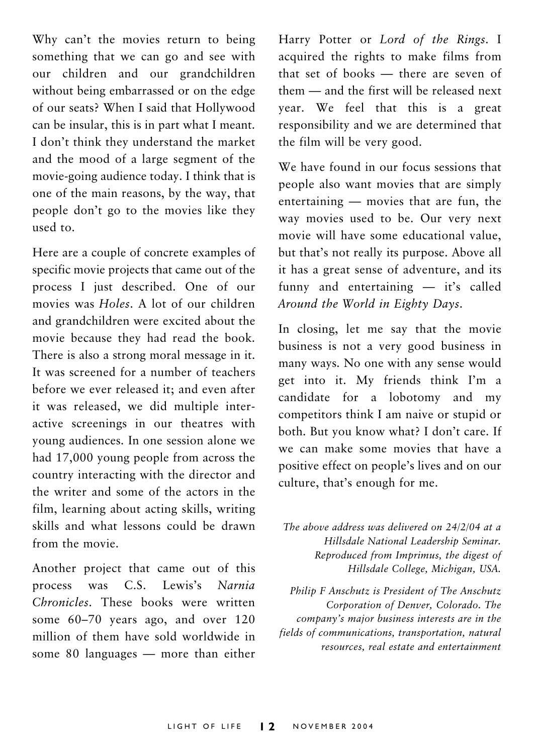Why can't the movies return to being something that we can go and see with our children and our grandchildren without being embarrassed or on the edge of our seats? When I said that Hollywood can be insular, this is in part what I meant. I don't think they understand the market and the mood of a large segment of the movie-going audience today. I think that is one of the main reasons, by the way, that people don't go to the movies like they used to.

Here are a couple of concrete examples of specific movie projects that came out of the process I just described. One of our movies was Holes A lot of our children and grandchildren were excited about the movie because they had read the book. There is also a strong moral message in it. It was screened for a number of teachers before we ever released it: and even after it was released, we did multiple interactive screenings in our theatres with young audiences. In one session alone we had 17,000 young people from across the country interacting with the director and the writer and some of the actors in the film, learning about acting skills, writing skills and what lessons could be drawn from the movie

Another project that came out of this process was Lewis's Narnia  $C.S.$ Chronicles. These books were written some 60-70 years ago, and over 120 million of them have sold worldwide in some 80 languages  $-$  more than either

Harry Potter or Lord of the Rings. I acquired the rights to make films from that set of books - there are seven of them - and the first will be released next year. We feel that this is a great responsibility and we are determined that the film will be very good.

We have found in our focus sessions that people also want movies that are simply entertaining — movies that are fun, the way movies used to be. Our very next movie will have some educational value. but that's not really its purpose. Above all it has a great sense of adventure, and its funny and entertaining - it's called Around the World in Eighty Days.

In closing, let me say that the movie business is not a very good business in many ways. No one with any sense would get into it. My friends think I'm a candidate for a lobotomy and my competitors think I am naive or stupid or both. But you know what? I don't care. If we can make some movies that have a positive effect on people's lives and on our culture, that's enough for me.

The above address was delivered on 24/2/04 at a Hillsdale National Leadership Seminar. Reproduced from Imprimus, the digest of Hillsdale College, Michigan, USA.

Philip F Anschutz is President of The Anschutz Corporation of Denver, Colorado. The company's major business interests are in the fields of communications, transportation, natural resources, real estate and entertainment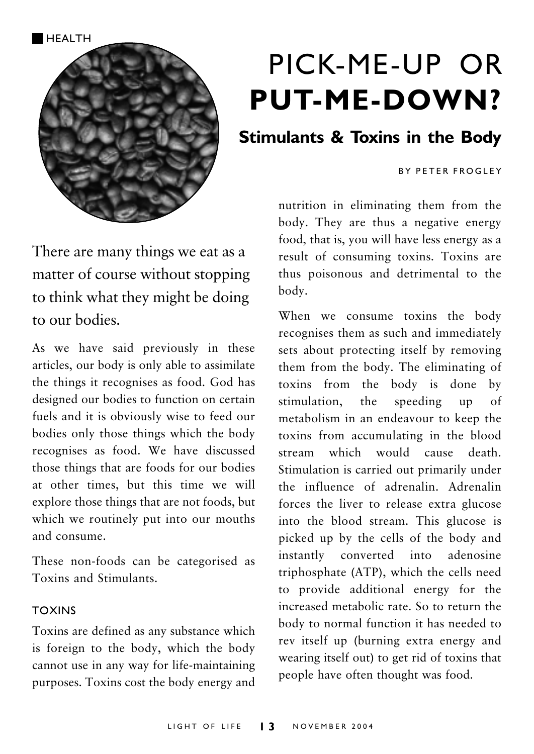

## PICK-ME-UP OR **PUT-ME-DOWN?**

### **Stimulants & Toxins in the Body**

#### **RY PETER FROGLEY**

nutrition in eliminating them from the body. They are thus a negative energy food, that is, you will have less energy as a result of consuming toxins. Toxins are thus poisonous and detrimental to the body.

When we consume toxins the body recognises them as such and immediately sets about protecting itself by removing them from the body. The eliminating of toxins from the body is done by the stimulation. speeding  $\alpha$ f  $\mathbf{u}\mathbf{p}$ metabolism in an endeavour to keep the toxins from accumulating in the blood stream which would cause death. Stimulation is carried out primarily under the influence of adrenalin. Adrenalin forces the liver to release extra glucose into the blood stream. This glucose is picked up by the cells of the body and instantly converted into adenosine triphosphate (ATP), which the cells need to provide additional energy for the increased metabolic rate. So to return the body to normal function it has needed to rev itself up (burning extra energy and wearing itself out) to get rid of toxins that people have often thought was food.

There are many things we eat as a matter of course without stopping to think what they might be doing to our hodies

As we have said previously in these articles, our body is only able to assimilate the things it recognises as food. God has designed our bodies to function on certain fuels and it is obviously wise to feed our bodies only those things which the body recognises as food. We have discussed those things that are foods for our bodies at other times, but this time we will explore those things that are not foods, but which we routinely put into our mouths and consume.

These non-foods can be categorised as Toxins and Stimulants

#### **TOXINS**

Toxins are defined as any substance which is foreign to the body, which the body cannot use in any way for life-maintaining purposes. Toxins cost the body energy and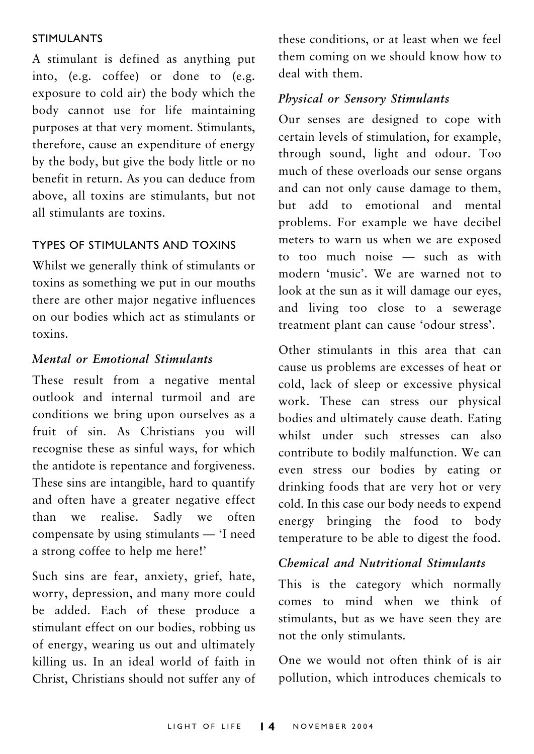#### **STIMULANTS**

A stimulant is defined as anything put into, (e.g. coffee) or done to (e.g. exposure to cold air) the body which the body cannot use for life maintaining purposes at that very moment. Stimulants, therefore, cause an expenditure of energy by the body, but give the body little or no benefit in return. As you can deduce from above, all toxins are stimulants, but not all stimulants are toxins.

#### **TYPES OF STIMULANTS AND TOXINS**

Whilst we generally think of stimulants or toxins as something we put in our mouths there are other major negative influences on our bodies which act as stimulants or toxins

#### Mental or Emotional Stimulants

These result from a negative mental outlook and internal turmoil and are conditions we bring upon ourselves as a fruit of sin. As Christians you will recognise these as sinful ways, for which the antidote is repentance and forgiveness. These sins are intangible, hard to quantify and often have a greater negative effect than we realise. Sadly we often compensate by using stimulants — 'I need a strong coffee to help me here!'

Such sins are fear, anxiety, grief, hate, worry, depression, and many more could be added. Each of these produce a stimulant effect on our bodies, robbing us of energy, wearing us out and ultimately killing us. In an ideal world of faith in Christ, Christians should not suffer any of these conditions, or at least when we feel them coming on we should know how to deal with them

#### Physical or Sensory Stimulants

Our senses are designed to cope with certain levels of stimulation, for example, through sound, light and odour. Too much of these overloads our sense organs and can not only cause damage to them, but add to emotional and mental problems. For example we have decibel meters to warn us when we are exposed to too much noise - such as with modern 'music'. We are warned not to look at the sun as it will damage our eves. and living too close to a sewerage treatment plant can cause 'odour stress'.

Other stimulants in this area that can cause us problems are excesses of heat or cold, lack of sleep or excessive physical work. These can stress our physical bodies and ultimately cause death. Eating whilst under such stresses can also contribute to bodily malfunction. We can even stress our bodies by eating or drinking foods that are very hot or very cold. In this case our body needs to expend energy bringing the food to body temperature to be able to digest the food.

#### Chemical and Nutritional Stimulants

This is the category which normally comes to mind when we think of stimulants, but as we have seen they are not the only stimulants.

One we would not often think of is air pollution, which introduces chemicals to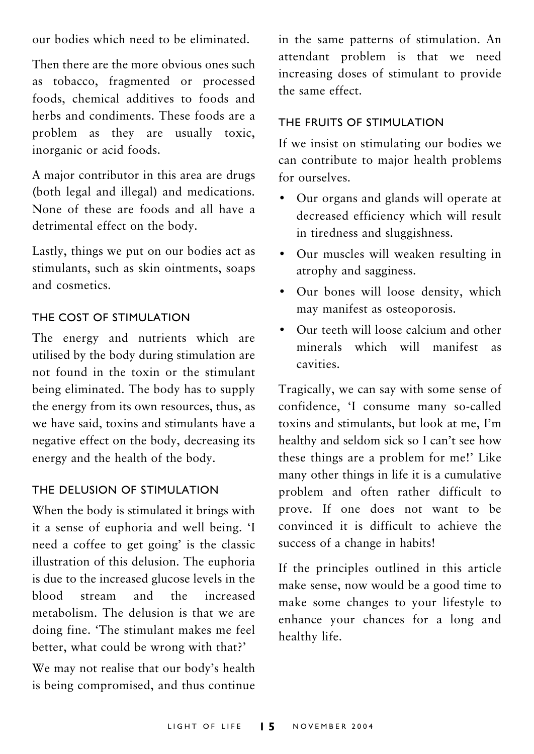our bodies which need to be eliminated.

Then there are the more obvious ones such as tobacco, fragmented or processed foods, chemical additives to foods and herbs and condiments. These foods are a problem as they are usually toxic, inorganic or acid foods.

A major contributor in this area are drugs (both legal and illegal) and medications. None of these are foods and all have a detrimental effect on the body.

Lastly, things we put on our bodies act as stimulants, such as skin ointments, soaps and cosmetics.

#### THE COST OF STIMULATION

The energy and nutrients which are utilised by the body during stimulation are not found in the toxin or the stimulant being eliminated. The body has to supply the energy from its own resources, thus, as we have said toxins and stimulants have a negative effect on the body, decreasing its energy and the health of the body.

#### THE DELUSION OF STIMULATION

When the body is stimulated it brings with it a sense of euphoria and well being. 'I need a coffee to get going' is the classic illustration of this delusion. The euphoria is due to the increased glucose levels in the hlood stream and the increased metabolism. The delusion is that we are doing fine. 'The stimulant makes me feel better, what could be wrong with that?'

We may not realise that our body's health is being compromised, and thus continue

in the same patterns of stimulation. An attendant problem is that we need increasing doses of stimulant to provide the same effect.

#### THE FRUITS OF STIMULATION

If we insist on stimulating our bodies we can contribute to major health problems for ourselves

- Our organs and glands will operate at decreased efficiency which will result in tiredness and sluggishness.
- Our muscles will weaken resulting in atrophy and sagginess.
- Our bones will loose density, which may manifest as osteoporosis.
- Our teeth will loose calcium and other minerals which will manifest as cavities.

Tragically, we can say with some sense of confidence, 'I consume many so-called toxins and stimulants, but look at me, I'm healthy and seldom sick so I can't see how these things are a problem for me!' Like many other things in life it is a cumulative problem and often rather difficult to prove. If one does not want to be convinced it is difficult to achieve the success of a change in habits!

If the principles outlined in this article make sense, now would be a good time to make some changes to your lifestyle to enhance your chances for a long and healthy life.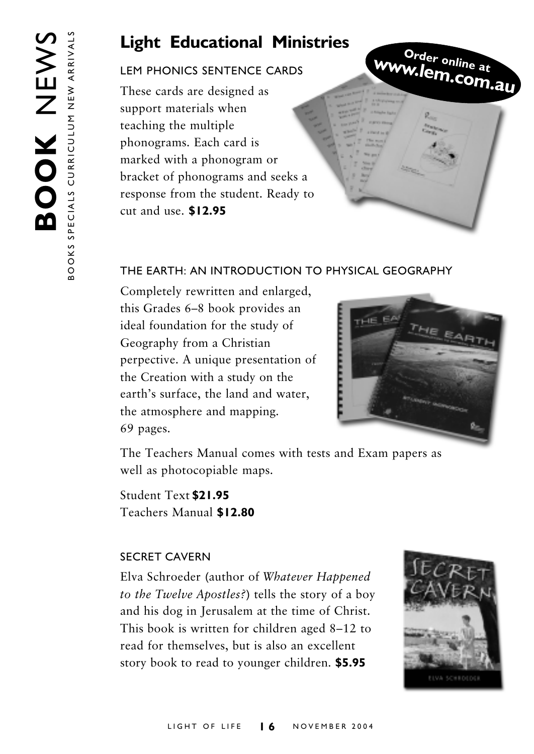## **Light Educational Ministries**

#### **I EM PHONICS SENTENCE CARDS**

These cards are designed as support materials when teaching the multiple phonograms. Each card is marked with a phonogram or bracket of phonograms and seeks a response from the student. Ready to cut and use. \$12.95

Order online at www.lem.com.au

#### THE EARTH: AN INTRODUCTION TO PHYSICAL GEOGRAPHY

Completely rewritten and enlarged, this Grades 6-8 book provides an ideal foundation for the study of Geography from a Christian perpective. A unique presentation of the Creation with a study on the earth's surface, the land and water, the atmosphere and mapping. 69 pages.



The Teachers Manual comes with tests and Exam papers as well as photocopiable maps.

Student Text \$21.95 Teachers Manual \$12.80

#### **SECRET CAVERN**

Elva Schroeder (author of Whatever Happened to the Twelve Apostles?) tells the story of a boy and his dog in Jerusalem at the time of Christ. This book is written for children aged 8–12 to read for themselves, but is also an excellent story book to read to younger children. \$5.95

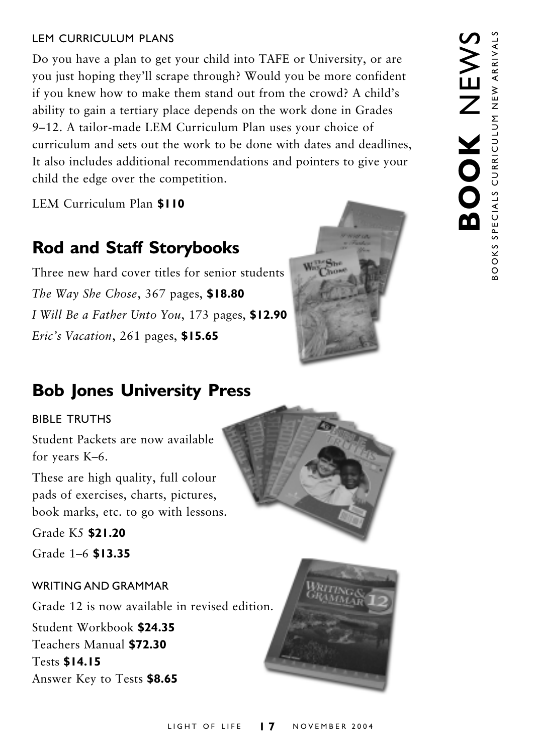#### **I FM CURRICULUM PLANS**

Do you have a plan to get your child into TAFE or University, or are you just hoping they'll scrape through? Would you be more confident if you knew how to make them stand out from the crowd? A child's ability to gain a tertiary place depends on the work done in Grades 9-12. A tailor-made LEM Curriculum Plan uses your choice of curriculum and sets out the work to be done with dates and deadlines, It also includes additional recommendations and pointers to give your child the edge over the competition.

LEM Curriculum Plan \$110

## **Rod and Staff Storybooks**

Three new hard cover titles for senior students The Way She Chose, 367 pages, \$18.80 I Will Be a Father Unto You, 173 pages, \$12.90 Eric's Vacation, 261 pages, \$15.65



## **Bob Jones University Press**

#### **BIBLE TRUTHS**

Student Packets are now available for years K-6.

These are high quality, full colour pads of exercises, charts, pictures, book marks, etc. to go with lessons.

Grade K5 \$21.20

Grade 1-6 \$13.35

#### **WRITING AND GRAMMAR**

Grade 12 is now available in revised edition. Student Workbook \$24.35 Teachers Manual \$72.30 **Tests \$14.15** Answer Key to Tests \$8.65



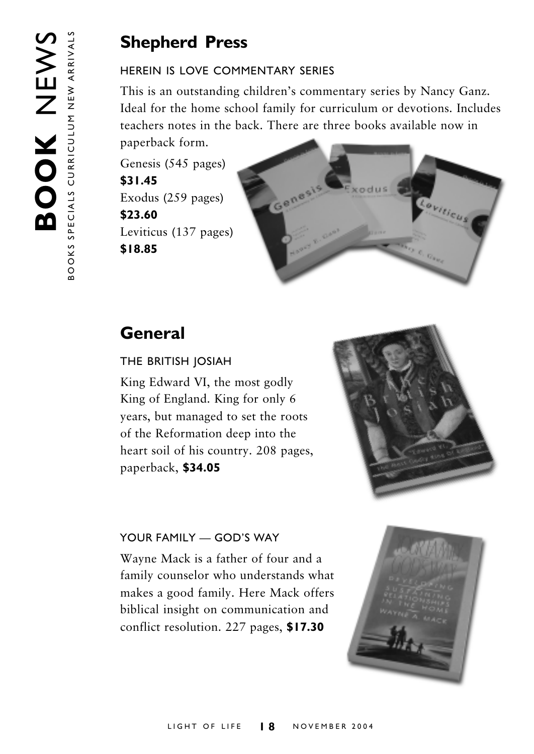## **Shepherd Press**

#### HEREIN IS LOVE COMMENTARY SERIES

This is an outstanding children's commentary series by Nancy Ganz. Ideal for the home school family for curriculum or devotions. Includes teachers notes in the back. There are three books available now in paperback form.

Genesis (545 pages) \$31.45 Exodus (259 pages) \$23.60 Leviticus (137 pages) \$18.85



## General

#### THE BRITISH JOSIAH

King Edward VI, the most godly King of England. King for only 6 years, but managed to set the roots of the Reformation deep into the heart soil of his country. 208 pages, paperback, \$34.05



#### YOUR FAMILY - GOD'S WAY

Wayne Mack is a father of four and a family counselor who understands what makes a good family. Here Mack offers biblical insight on communication and conflict resolution. 227 pages, \$17.30

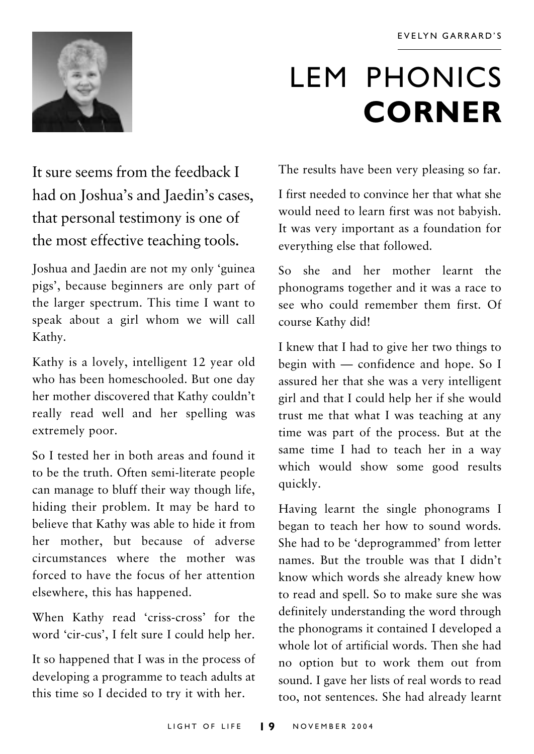

# **LEM PHONICS CORNER**

It sure seems from the feedback I had on Joshua's and Jaedin's cases, that personal testimony is one of the most effective teaching tools.

Joshua and Jaedin are not my only 'guinea pigs', because beginners are only part of the larger spectrum. This time I want to speak about a girl whom we will call Kathy.

Kathy is a lovely, intelligent 12 year old who has been homeschooled. But one day her mother discovered that Kathy couldn't really read well and her spelling was extremely poor.

So I tested her in both areas and found it to be the truth. Often semi-literate people can manage to bluff their way though life, hiding their problem. It may be hard to believe that Kathy was able to hide it from her mother, but because of adverse circumstances where the mother was forced to have the focus of her attention elsewhere, this has happened.

When Kathy read 'criss-cross' for the word 'cir-cus', I felt sure I could help her.

It so happened that I was in the process of developing a programme to teach adults at this time so I decided to try it with her.

The results have been very pleasing so far.

I first needed to convince her that what she would need to learn first was not babyish. It was very important as a foundation for everything else that followed.

So she and her mother learnt the phonograms together and it was a race to see who could remember them first Of course Kathy did!

I knew that I had to give her two things to begin with — confidence and hope. So I assured her that she was a very intelligent girl and that I could help her if she would trust me that what I was teaching at any time was part of the process. But at the same time I had to teach her in a way which would show some good results quickly.

Having learnt the single phonograms I began to teach her how to sound words. She had to be 'deprogrammed' from letter names. But the trouble was that I didn't know which words she already knew how to read and spell. So to make sure she was definitely understanding the word through the phonograms it contained I developed a whole lot of artificial words. Then she had no option but to work them out from sound. I gave her lists of real words to read too, not sentences. She had already learnt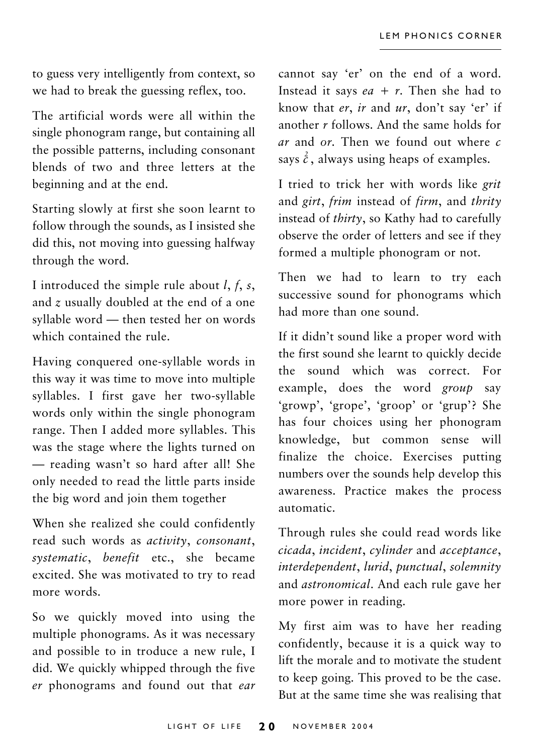to guess very intelligently from context, so we had to break the guessing reflex, too.

The artificial words were all within the single phonogram range, but containing all the possible patterns, including consonant blends of two and three letters at the beginning and at the end.

Starting slowly at first she soon learnt to follow through the sounds, as I insisted she did this, not moving into guessing halfway through the word.

I introduced the simple rule about  $l, f, s$ , and z usually doubled at the end of a one syllable word - then tested her on words which contained the rule.

Having conquered one-syllable words in this way it was time to move into multiple syllables. I first gave her two-syllable words only within the single phonogram range. Then I added more syllables. This was the stage where the lights turned on - reading wasn't so hard after all! She only needed to read the little parts inside the big word and join them together

When she realized she could confidently read such words as activity, consonant, systematic, benefit etc., she became excited. She was motivated to try to read more words.

So we quickly moved into using the multiple phonograms. As it was necessary and possible to in troduce a new rule, I did. We quickly whipped through the five er phonograms and found out that ear cannot say 'er' on the end of a word. Instead it says  $ea + r$ . Then she had to know that er, ir and ur, don't say 'er' if another  $r$  follows. And the same holds for ar and or. Then we found out where  $c$ says  $\hat{c}$ , always using heaps of examples.

I tried to trick her with words like grit and girt, frim instead of firm, and thrity instead of *thirty*, so Kathy had to carefully observe the order of letters and see if they formed a multiple phonogram or not.

Then we had to learn to try each successive sound for phonograms which had more than one sound

If it didn't sound like a proper word with the first sound she learnt to quickly decide the sound which was correct. For example, does the word *group* say 'growp', 'grope', 'groop' or 'grup'? She has four choices using her phonogram knowledge, but common sense will finalize the choice. Exercises putting numbers over the sounds help develop this awareness. Practice makes the process automatic.

Through rules she could read words like cicada, incident, cylinder and acceptance, interdependent, lurid, punctual, solemnity and *astronomical*. And each rule gave her more power in reading.

My first aim was to have her reading confidently, because it is a quick way to lift the morale and to motivate the student to keep going. This proved to be the case. But at the same time she was realising that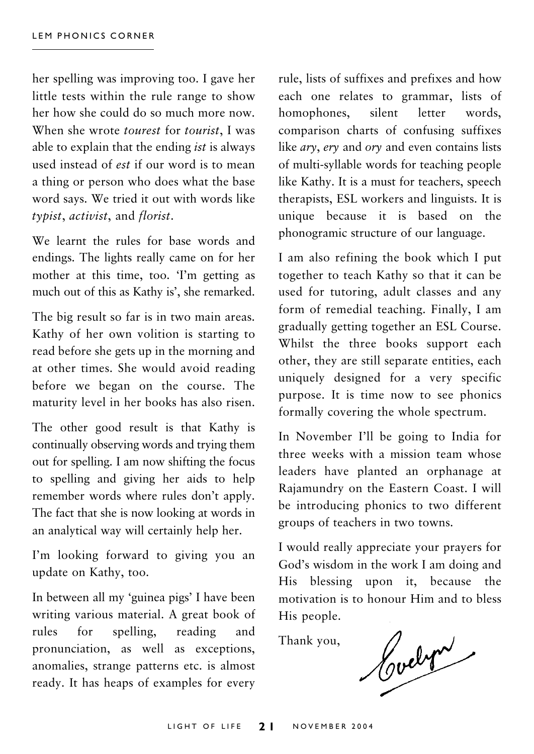her spelling was improving too. I gave her little tests within the rule range to show her how she could do so much more now. When she wrote *tourest* for *tourist* I was able to explain that the ending *ist* is always used instead of est if our word is to mean a thing or person who does what the base word savs. We tried it out with words like typist, activist, and florist.

We learnt the rules for base words and endings. The lights really came on for her mother at this time, too. Tm getting as much out of this as Kathy is', she remarked.

The big result so far is in two main areas. Kathy of her own volition is starting to read before she gets up in the morning and at other times. She would avoid reading before we began on the course. The maturity level in her books has also risen.

The other good result is that Kathy is continually observing words and trying them out for spelling. I am now shifting the focus to spelling and giving her aids to help remember words where rules don't apply. The fact that she is now looking at words in an analytical way will certainly help her.

I'm looking forward to giving you an update on Kathy, too.

In between all my 'guinea pigs' I have been writing various material. A great book of rules  $for$ spelling, reading and pronunciation, as well as exceptions, anomalies, strange patterns etc. is almost ready. It has heaps of examples for every

rule, lists of suffixes and prefixes and how each one relates to grammar. lists of homophones. silent letter words. comparison charts of confusing suffixes like ary, ery and ory and even contains lists of multi-syllable words for teaching people like Kathy. It is a must for teachers, speech therapists, ESL workers and linguists. It is unique because it is based on the phonogramic structure of our language.

I am also refining the book which I put together to teach Kathy so that it can be used for tutoring, adult classes and any form of remedial teaching. Finally, I am gradually getting together an ESL Course. Whilst the three books support each other, they are still separate entities, each uniquely designed for a very specific purpose. It is time now to see phonics formally covering the whole spectrum.

In November I'll be going to India for three weeks with a mission team whose leaders have planted an orphanage at Rajamundry on the Eastern Coast. I will be introducing phonics to two different groups of teachers in two towns.

I would really appreciate your prayers for God's wisdom in the work I am doing and His blessing upon it, because the motivation is to honour Him and to bless His people.

Thank you,

Cochris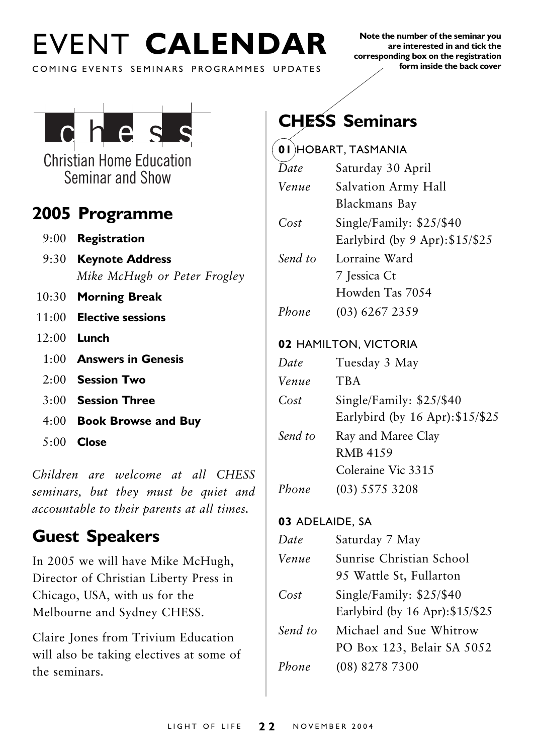# EVENT CALENDAR

Note the number of the seminar you are interested in and tick the corresponding box on the registration form inside the back cover

COMING EVENTS SEMINARS PROGRAMMES UPDATES



**Christian Home Education** Seminar and Show

### 2005 Programme

- $9:00$  Registration
- 9:30 Keynote Address Mike McHugh or Peter Frogley
- 10:30 Morning Break
- $11:00$  Elective sessions
- $12:00$  Lunch
	- $1.00$  Answers in Genesis
	- $2.00$  Session Two
	- $3:00$  Session Three
	- 4:00 Book Browse and Buy
	- $5:00$  Close

Children are welcome at all CHESS seminars, but they must be quiet and accountable to their parents at all times.

## **Guest Speakers**

In 2005 we will have Mike McHugh, Director of Christian Liberty Press in Chicago, USA, with us for the Melbourne and Sydney CHESS.

Claire Jones from Trivium Education will also be taking electives at some of the seminars.

## **CHESS Seminars**

|         | UI HUBART, TASIYIAINIA           |
|---------|----------------------------------|
| Date    | Saturday 30 April                |
| Venue   | Salvation Army Hall              |
|         | Blackmans Bay                    |
| Cost    | Single/Family: \$25/\$40         |
|         | Earlybird (by 9 Apr): $$15/\$25$ |
| Send to | Lorraine Ward                    |
|         | 7 Jessica Ct                     |
|         | Howden Tas 7054                  |
| Phone   | $(03)$ 6267 2359                 |
|         | 02 HAMILTON, VICTORIA            |
| Date    | Tuesday 3 May                    |
|         |                                  |
| Venue   | <b>TBA</b>                       |
| Cost    | Single/Family: \$25/\$40         |
|         | Earlybird (by 16 Apr): \$15/\$25 |
| Send to | Ray and Maree Clay               |
|         | <b>RMB 4159</b>                  |
|         | Coleraine Vic 3315               |
| Phone   | $(03)$ 5575 3208                 |

#### 03 ADELAIDE, SA

| Date    | Saturday 7 May                   |
|---------|----------------------------------|
| Venue   | Sunrise Christian School         |
|         | 95 Wattle St, Fullarton          |
| Cost    | Single/Family: \$25/\$40         |
|         | Earlybird (by 16 Apr): \$15/\$25 |
| Send to | Michael and Sue Whitrow          |
|         | PO Box 123, Belair SA 5052       |
| Phone   | (08) 8278 7300                   |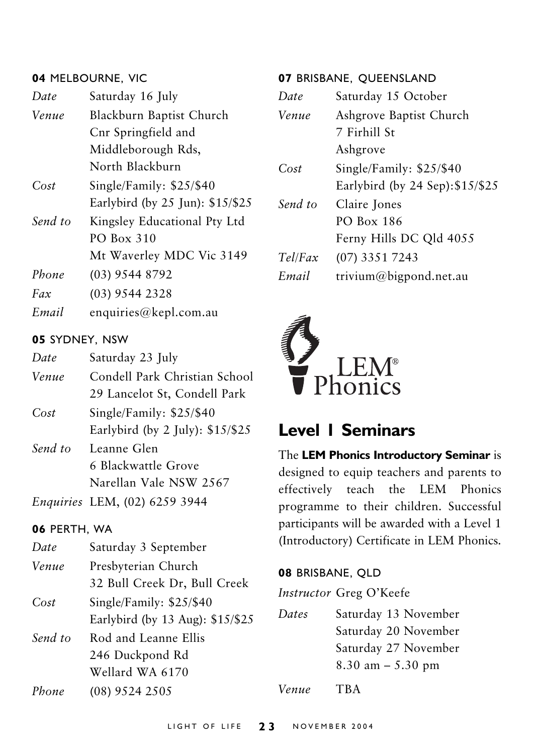#### 04 MELBOURNE, VIC

| Date    | Saturday 16 July                             |
|---------|----------------------------------------------|
| Venue   | Blackburn Baptist Church                     |
|         | Cnr Springfield and                          |
|         | Middleborough Rds,                           |
|         | North Blackburn                              |
| Cost    | Single/Family: \$25/\$40                     |
|         | Earlybird (by $25 \text{ Jun}$ ): $$15/\$25$ |
| Send to | Kingsley Educational Pty Ltd                 |
|         | PO Box 310                                   |
|         | Mt Waverley MDC Vic 3149                     |
| Phone   | $(03)$ 9544 8792                             |
| Fax     | $(03)$ 9544 2328                             |
| Email   | enquiries@kepl.com.au                        |

#### 05 SYDNEY, NSW

| Date  | Saturday 23 July                  |
|-------|-----------------------------------|
| Venue | Condell Park Christian School     |
|       | 29 Lancelot St, Condell Park      |
| Cost  | Single/Family: \$25/\$40          |
|       | Earlybird (by 2 July): $$15/\$25$ |

Leanne Glen Send to 6 Blackwattle Grove Narellan Vale NSW 2567

Enquiries LEM, (02) 6259 3944

#### 06 PERTH, WA

| Date    | Saturday 3 September             |
|---------|----------------------------------|
| Venue   | Presbyterian Church              |
|         | 32 Bull Creek Dr, Bull Creek     |
| Cost    | Single/Family: \$25/\$40         |
|         | Earlybird (by 13 Aug): \$15/\$25 |
| Send to | Rod and Leanne Ellis             |
|         | 246 Duckpond Rd                  |
|         | Wellard WA 6170                  |
| Phone   | $(08)$ 9524 2505                 |

#### 07 BRISBANE, OUEENSLAND

| Saturday 15 October              |
|----------------------------------|
| Ashgrove Baptist Church          |
| 7 Firhill St                     |
| Ashgrove                         |
| Single/Family: \$25/\$40         |
| Earlybird (by 24 Sep): \$15/\$25 |
| Claire Jones                     |
| PO Box 186                       |
| Ferny Hills DC Qld 4055          |
| (07) 3351 7243                   |
| trivium@bigpond.net.au           |
|                                  |



### **Level I Seminars**

The LEM Phonics Introductory Seminar is designed to equip teachers and parents to effectively teach the LEM Phonics programme to their children. Successful participants will be awarded with a Level 1 (Introductory) Certificate in LEM Phonics.

#### 08 BRISBANE, QLD

Instructor Greg O'Keefe

Dates Saturday 13 November Saturday 20 November Saturday 27 November  $8.30$  am  $- 5.30$  pm

Venue **TBA**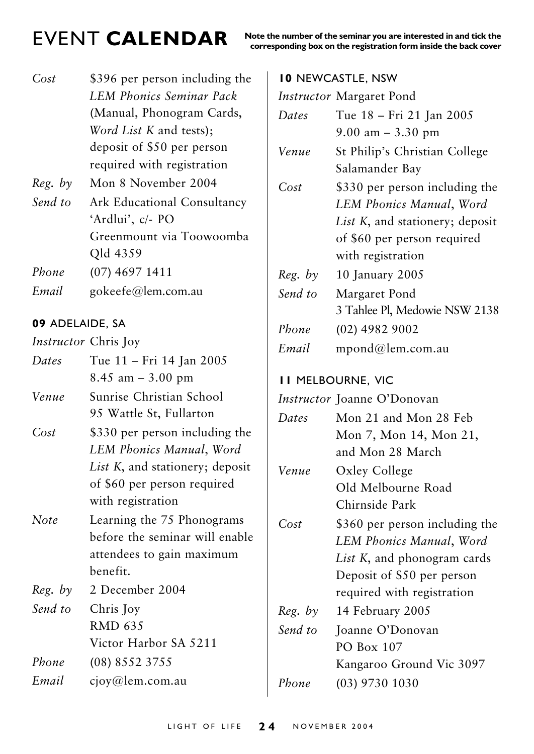## **FVENT CALENDAR**

Note the number of the seminar you are interested in and tick the corres

| Cost                        | \$396 per person including the<br><b>LEM Phonics Seminar Pack</b><br>(Manual, Phonogram Cards,<br>Word List K and tests); |  |
|-----------------------------|---------------------------------------------------------------------------------------------------------------------------|--|
|                             | deposit of \$50 per person                                                                                                |  |
|                             | required with registration                                                                                                |  |
| Reg. by                     | Mon 8 November 2004                                                                                                       |  |
| Send to                     | Ark Educational Consultancy                                                                                               |  |
|                             | 'Ardlui', c/- PO                                                                                                          |  |
|                             | Greenmount via Toowoomba                                                                                                  |  |
|                             | Qld 4359                                                                                                                  |  |
| Phone                       | $(07)$ 4697 1411                                                                                                          |  |
| Email                       | gokeefe@lem.com.au                                                                                                        |  |
| 09 ADELAIDE, SA             |                                                                                                                           |  |
|                             |                                                                                                                           |  |
| <i>Instructor</i> Chris Joy |                                                                                                                           |  |
| Dates                       | Tue 11 – Fri 14 Jan 2005                                                                                                  |  |
|                             | 8.45 am $-3.00$ pm                                                                                                        |  |

| Venue | Sunrise Christian School |  |
|-------|--------------------------|--|
|       | 95 Wattle St, Fullarton  |  |

- $Cost$ \$330 per person including the LEM Phonics Manual, Word List K, and stationery; deposit of \$60 per person required with registration
- Learning the 75 Phonograms **Note** before the seminar will enable attendees to gain maximum benefit.
- $Reg. by$ 2 December 2004 Send to Chris Joy **RMD 635** Victor Harbor SA 5211 Phone  $(08) 8552 3755$

#### Email ciov@lem.com.au

|         | ponding box on the registration form inside the back cover |
|---------|------------------------------------------------------------|
|         | <b>10 NEWCASTLE, NSW</b>                                   |
|         | Instructor Margaret Pond                                   |
| Dates   | Tue 18 - Fri 21 Jan 2005                                   |
|         | $9.00$ am $-3.30$ pm                                       |
| Venue   | St Philip's Christian College                              |
|         | Salamander Bay                                             |
| Cost    | \$330 per person including the                             |
|         | LEM Phonics Manual, Word                                   |
|         | List K, and stationery; deposit                            |
|         | of \$60 per person required                                |
|         | with registration                                          |
| Reg. by | 10 January 2005                                            |
| Send to | Margaret Pond                                              |
|         | 3 Tahlee Pl, Medowie NSW 2138                              |
| Phone   | $(02)$ 4982 9002                                           |
| Email   | mpond@lem.com.au                                           |
|         | <b>II MELBOURNE, VIC</b>                                   |
|         | Instructor Joanne O'Donovan                                |
| Dates   | Mon 21 and Mon 28 Feb                                      |
|         | Mon 7, Mon 14, Mon 21,                                     |
|         | and Mon 28 March                                           |
| Venue   | Oxley College                                              |
|         | Old Melbourne Road                                         |

 $Cost$ \$360 per person including the LEM Phonics Manual, Word List K, and phonogram cards Deposit of \$50 per person required with registration

Chirnside Park

- $Reg. by$ 14 February 2005
- Send to Ioanne O'Donovan PO Box 107 Kangaroo Ground Vic 3097 Phone  $(03)$  9730 1030